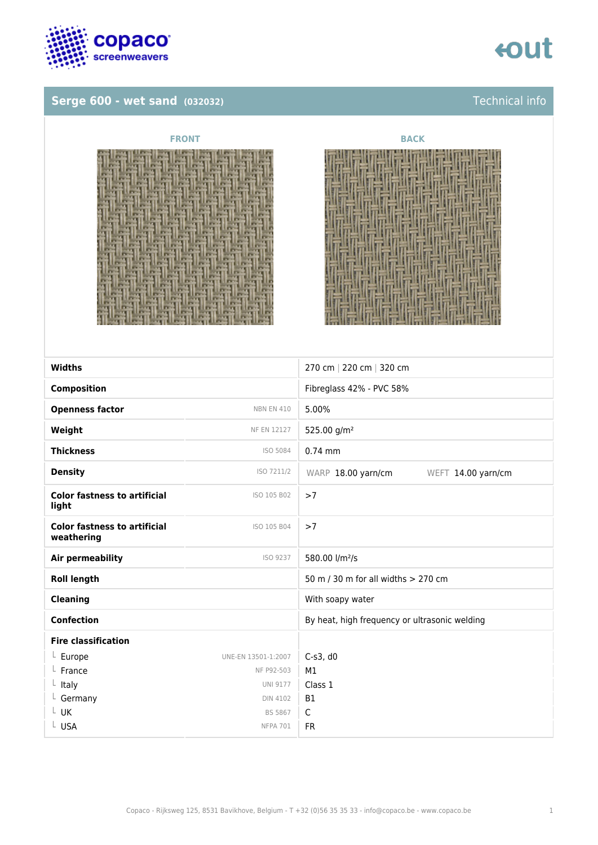

## **Serge 600 - wet sand (032032) Technical info**







| <b>Widths</b>                                     |                     | 270 cm   220 cm   320 cm                      |
|---------------------------------------------------|---------------------|-----------------------------------------------|
| <b>Composition</b>                                |                     | Fibreglass 42% - PVC 58%                      |
| <b>Openness factor</b>                            | <b>NBN EN 410</b>   | 5.00%                                         |
| Weight                                            | <b>NF EN 12127</b>  | 525.00 g/m <sup>2</sup>                       |
| <b>Thickness</b>                                  | ISO 5084            | $0.74$ mm                                     |
| <b>Density</b>                                    | ISO 7211/2          | WARP 18.00 yarn/cm<br>WEFT 14.00 yarn/cm      |
| <b>Color fastness to artificial</b><br>light      | ISO 105 B02         | >7                                            |
| <b>Color fastness to artificial</b><br>weathering | ISO 105 B04         | >7                                            |
| <b>Air permeability</b>                           | ISO 9237            | 580.00 l/m <sup>2</sup> /s                    |
| <b>Roll length</b>                                |                     | 50 m / 30 m for all widths > 270 cm           |
| <b>Cleaning</b>                                   |                     | With soapy water                              |
| <b>Confection</b>                                 |                     | By heat, high frequency or ultrasonic welding |
| <b>Fire classification</b>                        |                     |                                               |
| $L$ Europe                                        | UNE-EN 13501-1:2007 | $C-s3$ , d $0$                                |
| France                                            | NF P92-503          | M1                                            |
| $L$ Italy                                         | <b>UNI 9177</b>     | Class 1                                       |
| $L$ Germany                                       | <b>DIN 4102</b>     | <b>B1</b>                                     |
| L UK                                              | <b>BS 5867</b>      | $\mathsf C$                                   |
| L USA                                             | <b>NFPA 701</b>     | <b>FR</b>                                     |
|                                                   |                     |                                               |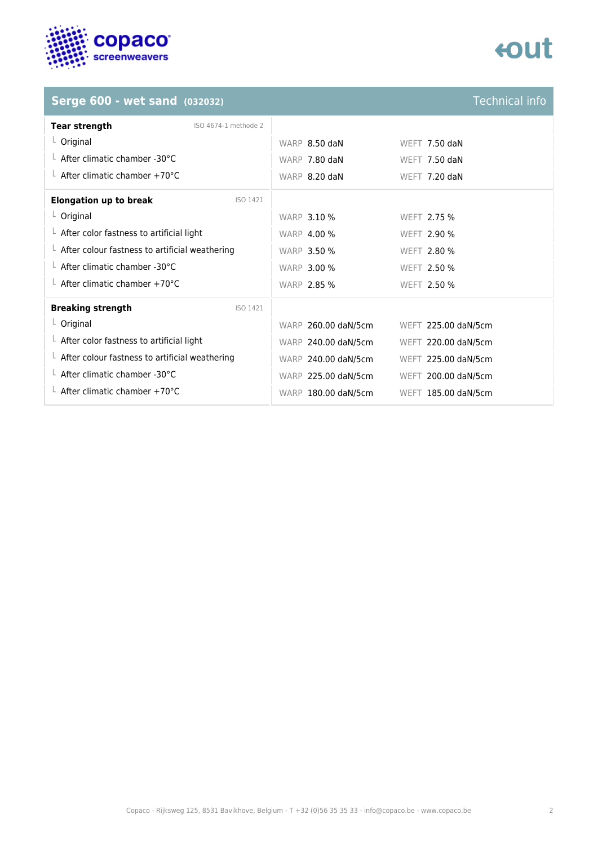

# tout

### **Serge 600 - wet sand (032032)** Technical info

| <b>Tear strength</b>                                   | ISO 4674-1 methode 2 |                     |                     |
|--------------------------------------------------------|----------------------|---------------------|---------------------|
| $L$ Original                                           |                      | WARP 8.50 daN       | WEFT $7.50$ daN     |
| $\perp$ After climatic chamber -30°C                   |                      | WARP 7.80 daN       | WEFT $7.50$ daN     |
| $\perp$ After climatic chamber +70°C                   |                      | WARP 8.20 daN       | WEFT 7.20 daN       |
| <b>Elongation up to break</b>                          | ISO 1421             |                     |                     |
| $L$ Original                                           |                      | <b>WARP 3.10 %</b>  | WEFT 2.75 %         |
| $\perp$ After color fastness to artificial light       |                      | <b>WARP 4.00 %</b>  | WEFT 2.90 %         |
| $\perp$ After colour fastness to artificial weathering |                      | <b>WARP 3.50 %</b>  | <b>WEFT 2.80 %</b>  |
| $\perp$ After climatic chamber -30°C                   |                      | <b>WARP 3.00 %</b>  | <b>WEFT 2.50 %</b>  |
| $\perp$ After climatic chamber +70°C                   |                      | <b>WARP 2.85 %</b>  | <b>WEFT 2.50 %</b>  |
| <b>Breaking strength</b>                               | ISO 1421             |                     |                     |
| $L$ Original                                           |                      | WARP 260.00 daN/5cm | WEFT 225.00 daN/5cm |
| $\perp$ After color fastness to artificial light       |                      | WARP 240.00 daN/5cm | WEFT 220.00 daN/5cm |
| $\perp$ After colour fastness to artificial weathering |                      | WARP 240.00 daN/5cm | WEFT 225.00 daN/5cm |
| $\perp$ After climatic chamber -30°C                   |                      | WARP 225.00 daN/5cm | WEFT 200.00 daN/5cm |
| L After climatic chamber +70°C                         |                      | WARP 180.00 daN/5cm | WEFT 185.00 daN/5cm |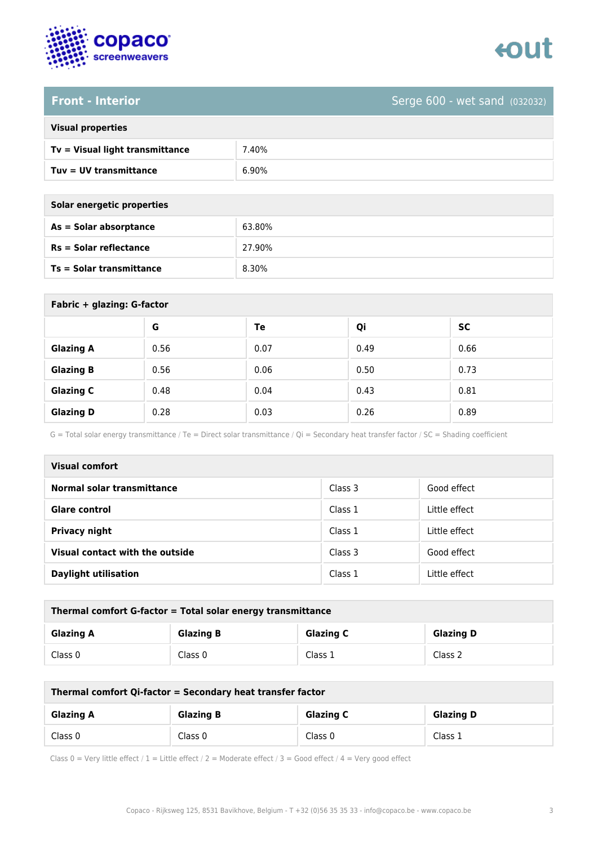



**Front - Interior** Serge 600 - wet sand (032032)

| <b>Visual properties</b> |  |  |
|--------------------------|--|--|
|                          |  |  |

| Tv = Visual light transmittance | 7.40% |
|---------------------------------|-------|
| Tuv = UV transmittance          | 6.90% |

| Solar energetic properties      |        |  |
|---------------------------------|--------|--|
| As = Solar absorptance          | 63.80% |  |
| <b>Rs = Solar reflectance</b>   | 27.90% |  |
| <b>Ts = Solar transmittance</b> | 8.30%  |  |
|                                 |        |  |

| Fabric + glazing: G-factor |      |      |      |      |
|----------------------------|------|------|------|------|
|                            | G    | Te   | Qi   | SC   |
| <b>Glazing A</b>           | 0.56 | 0.07 | 0.49 | 0.66 |
| <b>Glazing B</b>           | 0.56 | 0.06 | 0.50 | 0.73 |
| <b>Glazing C</b>           | 0.48 | 0.04 | 0.43 | 0.81 |
| <b>Glazing D</b>           | 0.28 | 0.03 | 0.26 | 0.89 |

G = Total solar energy transmittance / Te = Direct solar transmittance / Qi = Secondary heat transfer factor / SC = Shading coefficient

| <b>Visual comfort</b>           |         |               |
|---------------------------------|---------|---------------|
| Normal solar transmittance      | Class 3 | Good effect   |
| <b>Glare control</b>            | Class 1 | Little effect |
| <b>Privacy night</b>            | Class 1 | Little effect |
| Visual contact with the outside | Class 3 | Good effect   |
| <b>Daylight utilisation</b>     | Class 1 | Little effect |

| Thermal comfort G-factor = Total solar energy transmittance |                  |                  |                  |
|-------------------------------------------------------------|------------------|------------------|------------------|
| <b>Glazing A</b>                                            | <b>Glazing B</b> | <b>Glazing C</b> | <b>Glazing D</b> |
| Class 0                                                     | Class 0          | Class 1          | Class 2          |

| Thermal comfort Qi-factor = Secondary heat transfer factor |                  |                  |                  |
|------------------------------------------------------------|------------------|------------------|------------------|
| <b>Glazing A</b>                                           | <b>Glazing B</b> | <b>Glazing C</b> | <b>Glazing D</b> |
| Class 0                                                    | Class 0          | Class 0          | Class 1          |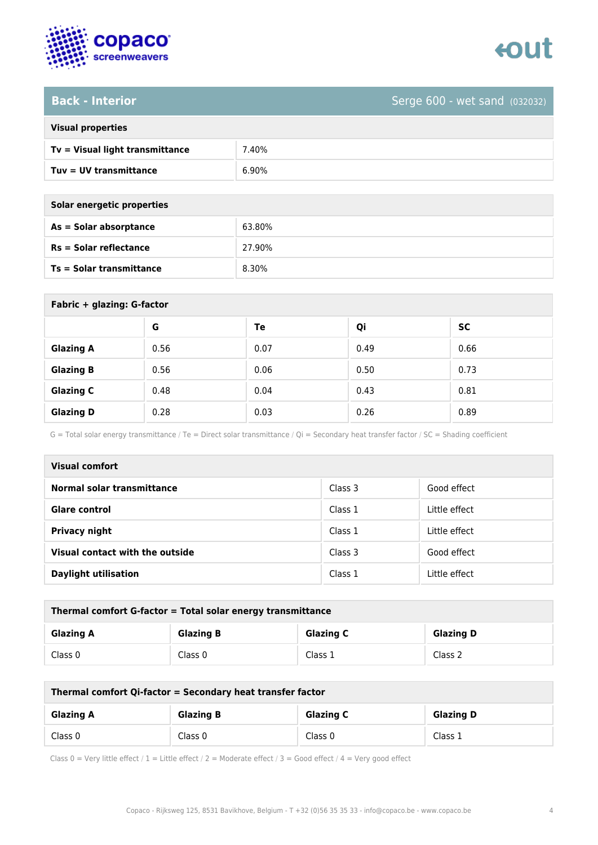

**Back - Interior** Serge 600 - wet sand (032032)

| <b>Visual properties</b> |  |  |  |
|--------------------------|--|--|--|
|--------------------------|--|--|--|

| Tv = Visual light transmittance | .40%  |
|---------------------------------|-------|
| Tuy = UV transmittance          | 6.90% |

| Solar energetic properties      |        |  |
|---------------------------------|--------|--|
| As = Solar absorptance          | 63.80% |  |
| <b>Rs = Solar reflectance</b>   | 27.90% |  |
| <b>Ts = Solar transmittance</b> | 8.30%  |  |
|                                 |        |  |

| Fabric + glazing: G-factor |      |      |      |      |
|----------------------------|------|------|------|------|
|                            | G    | Te   | Qi   | SC   |
| <b>Glazing A</b>           | 0.56 | 0.07 | 0.49 | 0.66 |
| <b>Glazing B</b>           | 0.56 | 0.06 | 0.50 | 0.73 |
| <b>Glazing C</b>           | 0.48 | 0.04 | 0.43 | 0.81 |
| <b>Glazing D</b>           | 0.28 | 0.03 | 0.26 | 0.89 |

G = Total solar energy transmittance / Te = Direct solar transmittance / Qi = Secondary heat transfer factor / SC = Shading coefficient

| <b>Visual comfort</b>           |         |               |
|---------------------------------|---------|---------------|
| Normal solar transmittance      | Class 3 | Good effect   |
| <b>Glare control</b>            | Class 1 | Little effect |
| Privacy night                   | Class 1 | Little effect |
| Visual contact with the outside | Class 3 | Good effect   |
| <b>Daylight utilisation</b>     | Class 1 | Little effect |

| Thermal comfort G-factor = Total solar energy transmittance |                  |                  |                  |
|-------------------------------------------------------------|------------------|------------------|------------------|
| <b>Glazing A</b>                                            | <b>Glazing B</b> | <b>Glazing C</b> | <b>Glazing D</b> |
| Class 0                                                     | Class 0          | Class 1          | Class 2          |

| Thermal comfort Qi-factor = Secondary heat transfer factor |                  |                  |                  |
|------------------------------------------------------------|------------------|------------------|------------------|
| <b>Glazing A</b>                                           | <b>Glazing B</b> | <b>Glazing C</b> | <b>Glazing D</b> |
| Class 0                                                    | Class 0          | Class 0          | Class 1          |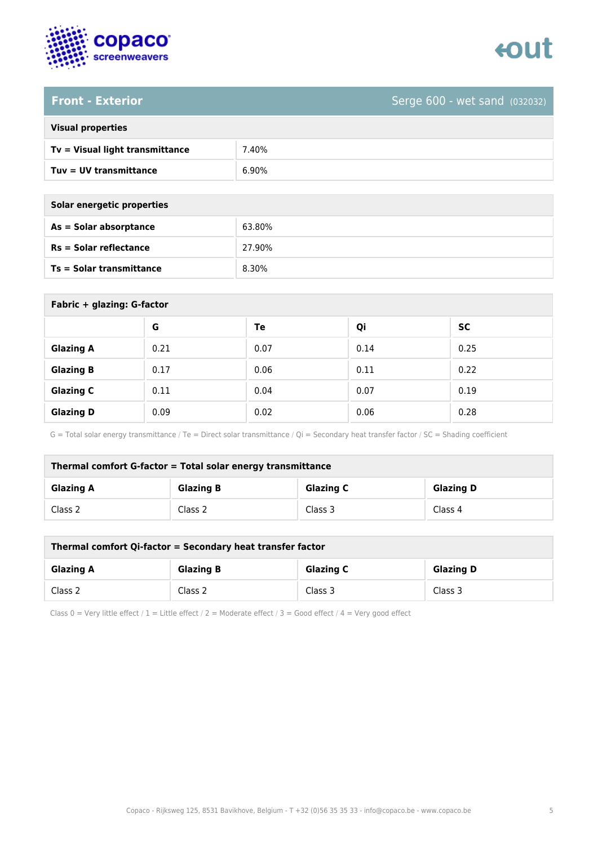



**Front - Exterior** Serge 600 - wet sand (032032)

| <b>Visual properties</b> |
|--------------------------|
|                          |

| Tv = Visual light transmittance | .40%  |
|---------------------------------|-------|
| $Tuv = UV$ transmittance        | 6.90% |

| Solar energetic properties      |        |
|---------------------------------|--------|
| $As = Solar absorptance$        | 63.80% |
| <b>Rs = Solar reflectance</b>   | 27.90% |
| <b>Ts = Solar transmittance</b> | 8.30%  |
|                                 |        |

| Fabric + glazing: G-factor |      |      |      |           |
|----------------------------|------|------|------|-----------|
|                            | G    | Te   | Qi   | <b>SC</b> |
| <b>Glazing A</b>           | 0.21 | 0.07 | 0.14 | 0.25      |
| <b>Glazing B</b>           | 0.17 | 0.06 | 0.11 | 0.22      |
| <b>Glazing C</b>           | 0.11 | 0.04 | 0.07 | 0.19      |
| <b>Glazing D</b>           | 0.09 | 0.02 | 0.06 | 0.28      |

G = Total solar energy transmittance / Te = Direct solar transmittance / Qi = Secondary heat transfer factor / SC = Shading coefficient

| Thermal comfort G-factor = Total solar energy transmittance |                  |                  |                  |
|-------------------------------------------------------------|------------------|------------------|------------------|
| <b>Glazing A</b>                                            | <b>Glazing B</b> | <b>Glazing C</b> | <b>Glazing D</b> |
| Class 2                                                     | Class 2          | Class 3          | Class 4          |

| Thermal comfort Qi-factor = Secondary heat transfer factor |                  |                  |                  |
|------------------------------------------------------------|------------------|------------------|------------------|
| <b>Glazing A</b>                                           | <b>Glazing B</b> | <b>Glazing C</b> | <b>Glazing D</b> |
| Class 2                                                    | Class 2          | Class 3          | Class 3          |